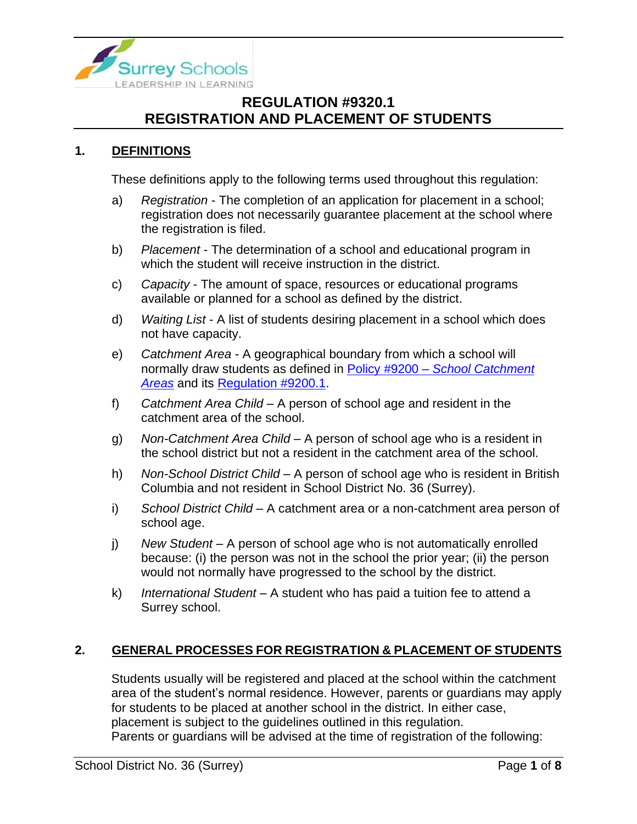

### **1. DEFINITIONS**

These definitions apply to the following terms used throughout this regulation:

- a) *Registration* The completion of an application for placement in a school; registration does not necessarily guarantee placement at the school where the registration is filed.
- b) *Placement*  The determination of a school and educational program in which the student will receive instruction in the district.
- c) *Capacity*  The amount of space, resources or educational programs available or planned for a school as defined by the district.
- d) *Waiting List* A list of students desiring placement in a school which does not have capacity.
- e) *Catchment Area* A geographical boundary from which a school will normally draw students as defined in Policy #9200 – *[School Catchment](https://www.surreyschools.ca/departments/SECT/PoliciesRegulations/section_9000/Documents/9200%20Policy.pdf)  [Areas](https://www.surreyschools.ca/departments/SECT/PoliciesRegulations/section_9000/Documents/9200%20Policy.pdf)* and its [Regulation #9200.1.](https://www.surreyschools.ca/departments/SECT/PoliciesRegulations/section_9000/Documents/9200.1%20Regulation.pdf)
- f) *Catchment Area Child* A person of school age and resident in the catchment area of the school.
- g) *Non-Catchment Area Child* A person of school age who is a resident in the school district but not a resident in the catchment area of the school.
- h) *Non-School District Child* A person of school age who is resident in British Columbia and not resident in School District No. 36 (Surrey).
- i) *School District Child* A catchment area or a non-catchment area person of school age.
- j) *New Student* A person of school age who is not automatically enrolled because: (i) the person was not in the school the prior year; (ii) the person would not normally have progressed to the school by the district.
- k) *International Student* A student who has paid a tuition fee to attend a Surrey school.

#### **2. GENERAL PROCESSES FOR REGISTRATION & PLACEMENT OF STUDENTS**

Students usually will be registered and placed at the school within the catchment area of the student's normal residence. However, parents or guardians may apply for students to be placed at another school in the district. In either case, placement is subject to the guidelines outlined in this regulation. Parents or guardians will be advised at the time of registration of the following: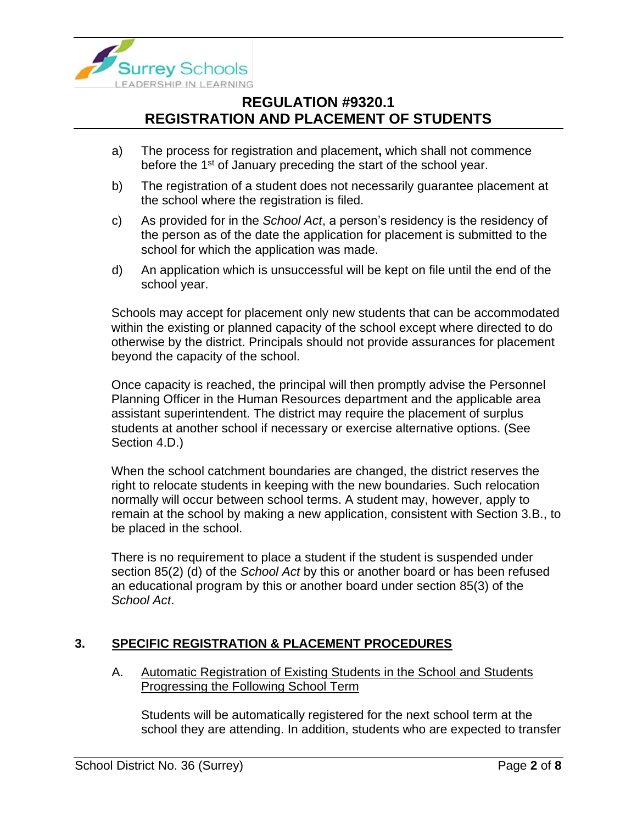

- a) The process for registration and placement**,** which shall not commence before the 1<sup>st</sup> of January preceding the start of the school year.
- b) The registration of a student does not necessarily guarantee placement at the school where the registration is filed.
- c) As provided for in the *School Act*, a person's residency is the residency of the person as of the date the application for placement is submitted to the school for which the application was made.
- d) An application which is unsuccessful will be kept on file until the end of the school year.

Schools may accept for placement only new students that can be accommodated within the existing or planned capacity of the school except where directed to do otherwise by the district. Principals should not provide assurances for placement beyond the capacity of the school.

Once capacity is reached, the principal will then promptly advise the Personnel Planning Officer in the Human Resources department and the applicable area assistant superintendent. The district may require the placement of surplus students at another school if necessary or exercise alternative options. (See Section 4.D.)

When the school catchment boundaries are changed, the district reserves the right to relocate students in keeping with the new boundaries. Such relocation normally will occur between school terms. A student may, however, apply to remain at the school by making a new application, consistent with Section 3.B., to be placed in the school.

There is no requirement to place a student if the student is suspended under section 85(2) (d) of the *School Act* by this or another board or has been refused an educational program by this or another board under section 85(3) of the *School Act*.

### **3. SPECIFIC REGISTRATION & PLACEMENT PROCEDURES**

A. Automatic Registration of Existing Students in the School and Students Progressing the Following School Term

Students will be automatically registered for the next school term at the school they are attending. In addition, students who are expected to transfer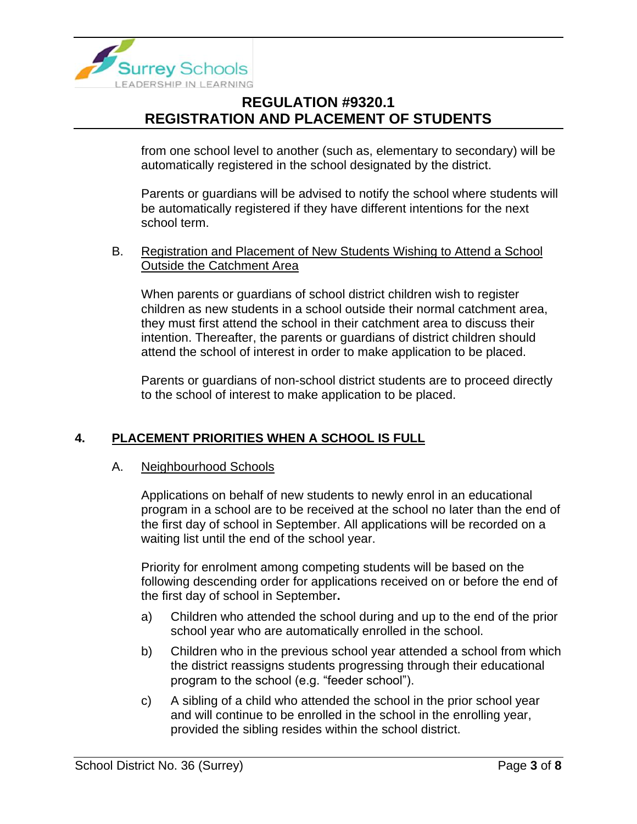

from one school level to another (such as, elementary to secondary) will be automatically registered in the school designated by the district.

Parents or guardians will be advised to notify the school where students will be automatically registered if they have different intentions for the next school term.

#### B. Registration and Placement of New Students Wishing to Attend a School Outside the Catchment Area

When parents or guardians of school district children wish to register children as new students in a school outside their normal catchment area, they must first attend the school in their catchment area to discuss their intention. Thereafter, the parents or guardians of district children should attend the school of interest in order to make application to be placed.

Parents or guardians of non-school district students are to proceed directly to the school of interest to make application to be placed.

### **4. PLACEMENT PRIORITIES WHEN A SCHOOL IS FULL**

#### A. Neighbourhood Schools

Applications on behalf of new students to newly enrol in an educational program in a school are to be received at the school no later than the end of the first day of school in September. All applications will be recorded on a waiting list until the end of the school year.

Priority for enrolment among competing students will be based on the following descending order for applications received on or before the end of the first day of school in September**.**

- a) Children who attended the school during and up to the end of the prior school year who are automatically enrolled in the school.
- b) Children who in the previous school year attended a school from which the district reassigns students progressing through their educational program to the school (e.g. "feeder school").
- c) A sibling of a child who attended the school in the prior school year and will continue to be enrolled in the school in the enrolling year, provided the sibling resides within the school district.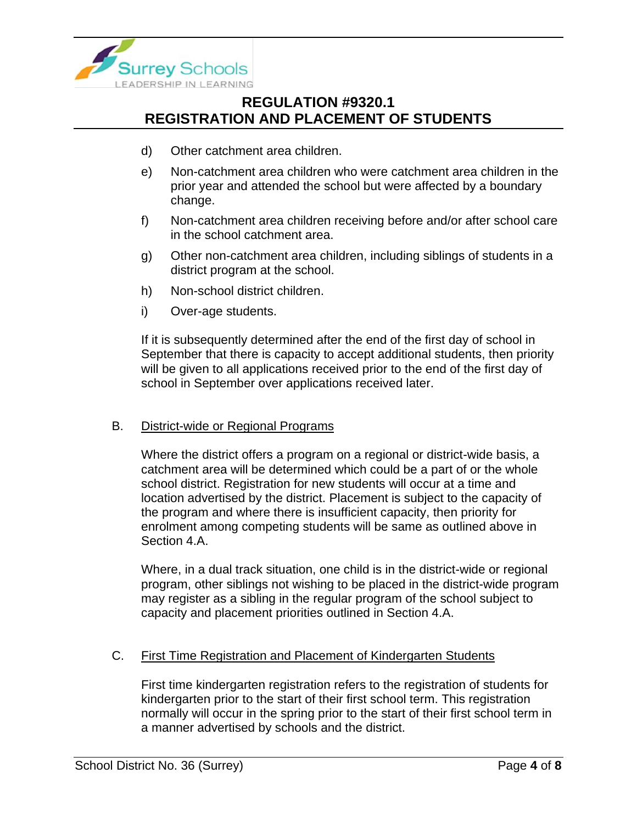

- d) Other catchment area children.
- e) Non-catchment area children who were catchment area children in the prior year and attended the school but were affected by a boundary change.
- f) Non-catchment area children receiving before and/or after school care in the school catchment area.
- g) Other non-catchment area children, including siblings of students in a district program at the school.
- h) Non-school district children.
- i) Over-age students.

If it is subsequently determined after the end of the first day of school in September that there is capacity to accept additional students, then priority will be given to all applications received prior to the end of the first day of school in September over applications received later.

#### B. District-wide or Regional Programs

Where the district offers a program on a regional or district-wide basis, a catchment area will be determined which could be a part of or the whole school district. Registration for new students will occur at a time and location advertised by the district. Placement is subject to the capacity of the program and where there is insufficient capacity, then priority for enrolment among competing students will be same as outlined above in Section 4.A.

Where, in a dual track situation, one child is in the district-wide or regional program, other siblings not wishing to be placed in the district-wide program may register as a sibling in the regular program of the school subject to capacity and placement priorities outlined in Section 4.A.

### C. First Time Registration and Placement of Kindergarten Students

First time kindergarten registration refers to the registration of students for kindergarten prior to the start of their first school term. This registration normally will occur in the spring prior to the start of their first school term in a manner advertised by schools and the district.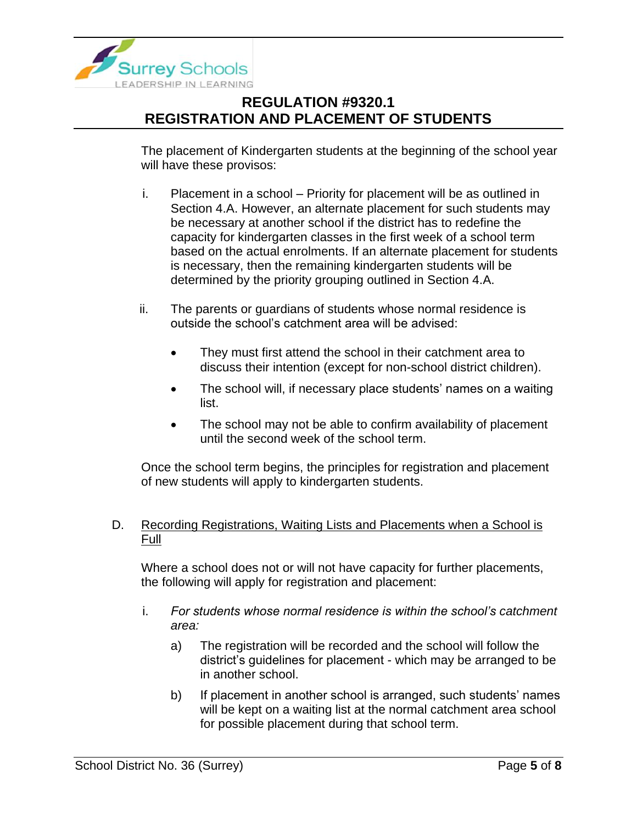

The placement of Kindergarten students at the beginning of the school year will have these provisos:

- i. Placement in a school Priority for placement will be as outlined in Section 4.A. However, an alternate placement for such students may be necessary at another school if the district has to redefine the capacity for kindergarten classes in the first week of a school term based on the actual enrolments. If an alternate placement for students is necessary, then the remaining kindergarten students will be determined by the priority grouping outlined in Section 4.A.
- ii. The parents or guardians of students whose normal residence is outside the school's catchment area will be advised:
	- They must first attend the school in their catchment area to discuss their intention (except for non-school district children).
	- The school will, if necessary place students' names on a waiting list.
	- The school may not be able to confirm availability of placement until the second week of the school term.

Once the school term begins, the principles for registration and placement of new students will apply to kindergarten students.

### D. Recording Registrations, Waiting Lists and Placements when a School is Full

Where a school does not or will not have capacity for further placements, the following will apply for registration and placement:

- i. *For students whose normal residence is within the school's catchment area:*
	- a) The registration will be recorded and the school will follow the district's guidelines for placement - which may be arranged to be in another school.
	- b) If placement in another school is arranged, such students' names will be kept on a waiting list at the normal catchment area school for possible placement during that school term.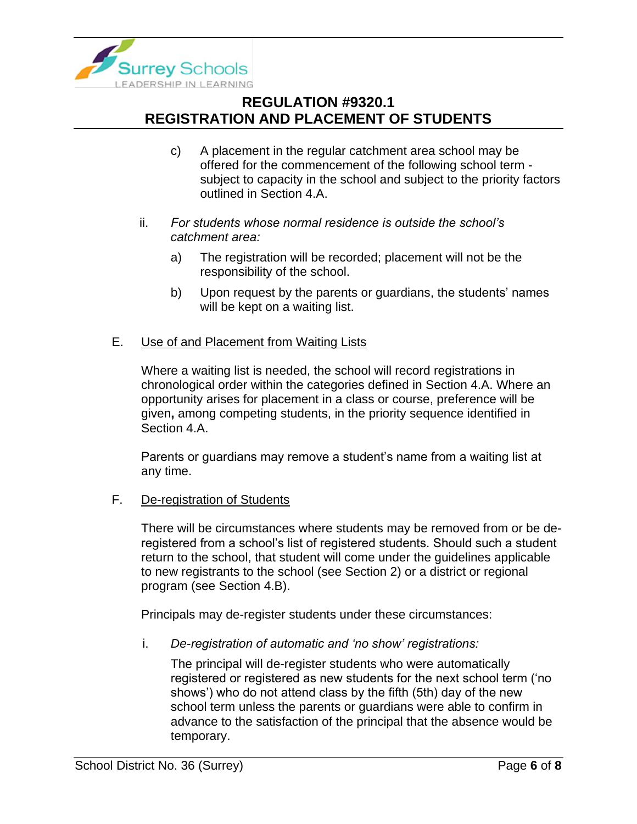

- c) A placement in the regular catchment area school may be offered for the commencement of the following school term subject to capacity in the school and subject to the priority factors outlined in Section 4.A.
- ii. *For students whose normal residence is outside the school's catchment area:*
	- a) The registration will be recorded; placement will not be the responsibility of the school.
	- b) Upon request by the parents or guardians, the students' names will be kept on a waiting list.
- E. Use of and Placement from Waiting Lists

Where a waiting list is needed, the school will record registrations in chronological order within the categories defined in Section 4.A. Where an opportunity arises for placement in a class or course, preference will be given**,** among competing students, in the priority sequence identified in Section 4.A.

Parents or guardians may remove a student's name from a waiting list at any time.

F. De-registration of Students

There will be circumstances where students may be removed from or be deregistered from a school's list of registered students. Should such a student return to the school, that student will come under the guidelines applicable to new registrants to the school (see Section 2) or a district or regional program (see Section 4.B).

Principals may de-register students under these circumstances:

i. *De-registration of automatic and 'no show' registrations:*

The principal will de-register students who were automatically registered or registered as new students for the next school term ('no shows') who do not attend class by the fifth (5th) day of the new school term unless the parents or guardians were able to confirm in advance to the satisfaction of the principal that the absence would be temporary.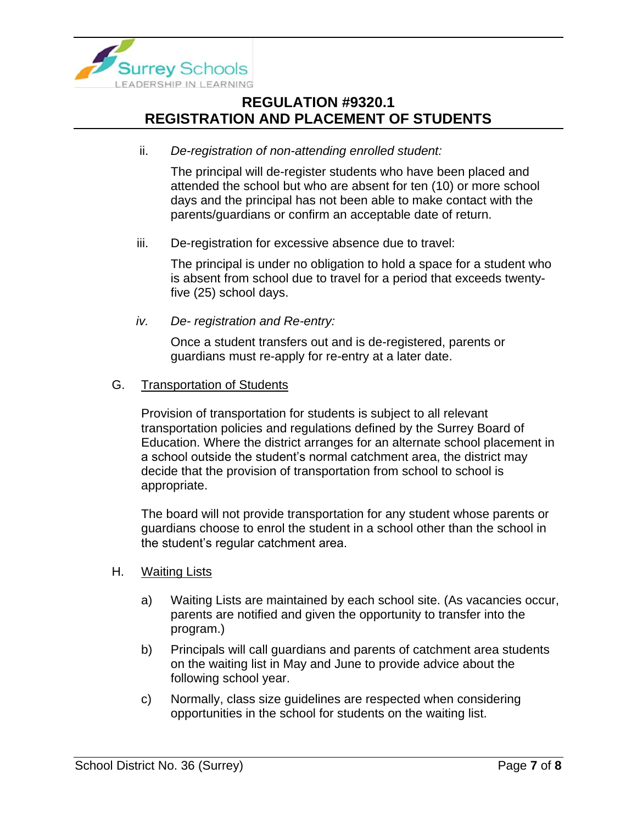

ii. *De-registration of non-attending enrolled student:*

The principal will de-register students who have been placed and attended the school but who are absent for ten (10) or more school days and the principal has not been able to make contact with the parents/guardians or confirm an acceptable date of return.

iii. De-registration for excessive absence due to travel:

The principal is under no obligation to hold a space for a student who is absent from school due to travel for a period that exceeds twentyfive (25) school days.

*iv. De- registration and Re-entry:*

Once a student transfers out and is de-registered, parents or guardians must re-apply for re-entry at a later date.

### G. Transportation of Students

Provision of transportation for students is subject to all relevant transportation policies and regulations defined by the Surrey Board of Education. Where the district arranges for an alternate school placement in a school outside the student's normal catchment area, the district may decide that the provision of transportation from school to school is appropriate.

The board will not provide transportation for any student whose parents or guardians choose to enrol the student in a school other than the school in the student's regular catchment area.

- H. Waiting Lists
	- a) Waiting Lists are maintained by each school site. (As vacancies occur, parents are notified and given the opportunity to transfer into the program.)
	- b) Principals will call guardians and parents of catchment area students on the waiting list in May and June to provide advice about the following school year.
	- c) Normally, class size guidelines are respected when considering opportunities in the school for students on the waiting list.